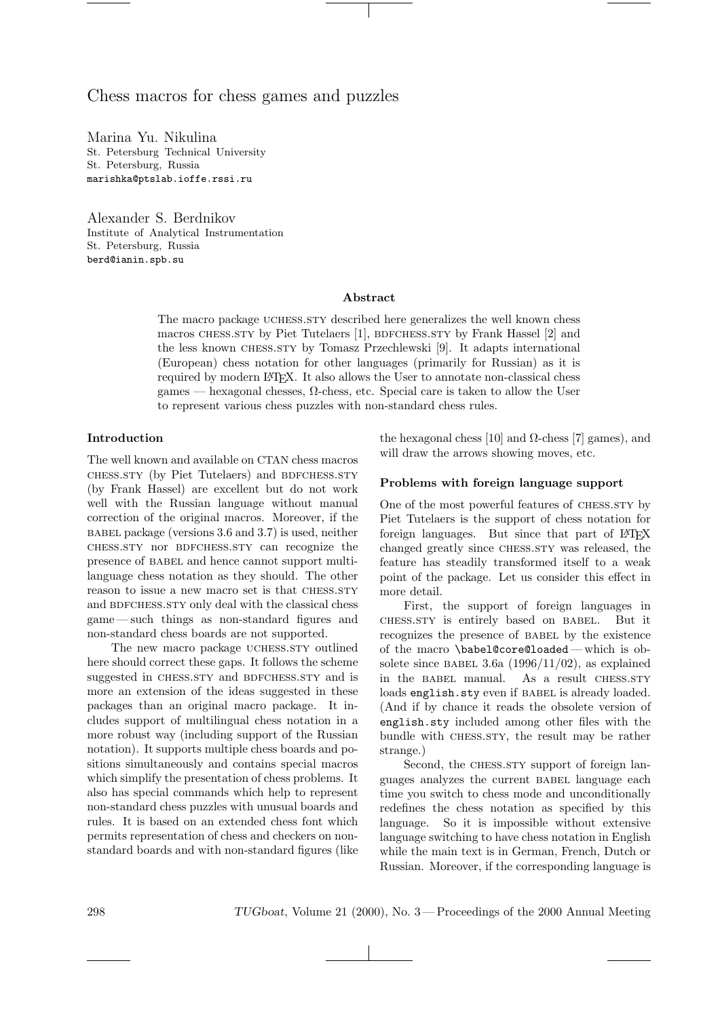# Chess macros for chess games and puzzles

Marina Yu. Nikulina St. Petersburg Technical University St. Petersburg, Russia marishka@ptslab.ioffe.rssi.ru

Alexander S. Berdnikov Institute of Analytical Instrumentation St. Petersburg, Russia berd@ianin.spb.su

### Abstract

The macro package UCHESS.STY described here generalizes the well known chess macros CHESS.STY by Piet Tutelaers [1], BDFCHESS.STY by Frank Hassel [2] and the less known chess.sty by Tomasz Przechlewski [9]. It adapts international (European) chess notation for other languages (primarily for Russian) as it is required by modern IATEX. It also allows the User to annotate non-classical chess games — hexagonal chesses, Ω-chess, etc. Special care is taken to allow the User to represent various chess puzzles with non-standard chess rules.

## Introduction

The well known and available on CTAN chess macros chess.sty (by Piet Tutelaers) and BDFCHESS.STY (by Frank Hassel) are excellent but do not work well with the Russian language without manual correction of the original macros. Moreover, if the babel package (versions 3.6 and 3.7) is used, neither chess.sty nor bdfchess.sty can recognize the presence of BABEL and hence cannot support multilanguage chess notation as they should. The other reason to issue a new macro set is that CHESS.STY and BDFCHESS.STY only deal with the classical chess game — such things as non-standard figures and non-standard chess boards are not supported.

The new macro package UCHESS.STY outlined here should correct these gaps. It follows the scheme suggested in CHESS.STY and BDFCHESS.STY and is more an extension of the ideas suggested in these packages than an original macro package. It includes support of multilingual chess notation in a more robust way (including support of the Russian notation). It supports multiple chess boards and positions simultaneously and contains special macros which simplify the presentation of chess problems. It also has special commands which help to represent non-standard chess puzzles with unusual boards and rules. It is based on an extended chess font which permits representation of chess and checkers on nonstandard boards and with non-standard figures (like

the hexagonal chess [10] and  $\Omega$ -chess [7] games), and will draw the arrows showing moves, etc.

## Problems with foreign language support

One of the most powerful features of chess.sty by Piet Tutelaers is the support of chess notation for foreign languages. But since that part of LATEX changed greatly since CHESS.STY was released, the feature has steadily transformed itself to a weak point of the package. Let us consider this effect in more detail.

First, the support of foreign languages in chess.sty is entirely based on babel. But it recognizes the presence of babel by the existence of the macro \babel@core@loaded— which is obsolete since BABEL 3.6a  $(1996/11/02)$ , as explained in the BABEL manual. As a result CHESS.STY loads english.sty even if BABEL is already loaded. (And if by chance it reads the obsolete version of english.sty included among other files with the bundle with CHESS.STY, the result may be rather strange.)

Second, the CHESS.STY support of foreign languages analyzes the current babel language each time you switch to chess mode and unconditionally redefines the chess notation as specified by this language. So it is impossible without extensive language switching to have chess notation in English while the main text is in German, French, Dutch or Russian. Moreover, if the corresponding language is

298 TUGboat, Volume 21 (2000), No. 3 — Proceedings of the 2000 Annual Meeting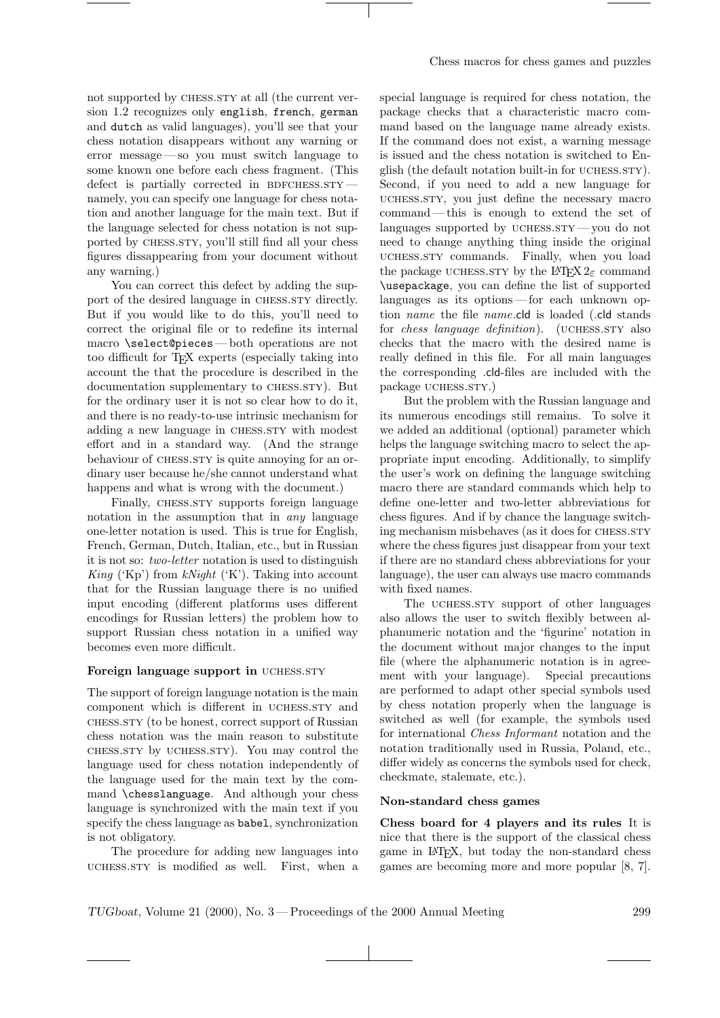not supported by CHESS.STY at all (the current version 1.2 recognizes only english, french, german and dutch as valid languages), you'll see that your chess notation disappears without any warning or error message — so you must switch language to some known one before each chess fragment. (This defect is partially corrected in BDFCHESS.STY  $$ namely, you can specify one language for chess notation and another language for the main text. But if the language selected for chess notation is not supported by chess.sty, you'll still find all your chess figures dissappearing from your document without any warning.)

You can correct this defect by adding the support of the desired language in CHESS.STY directly. But if you would like to do this, you'll need to correct the original file or to redefine its internal macro \select@pieces— both operations are not too difficult for TEX experts (especially taking into account the that the procedure is described in the documentation supplementary to chess.sty). But for the ordinary user it is not so clear how to do it, and there is no ready-to-use intrinsic mechanism for adding a new language in CHESS.STY with modest effort and in a standard way. (And the strange behaviour of chess.sty is quite annoying for an ordinary user because he/she cannot understand what happens and what is wrong with the document.)

Finally, CHESS.STY supports foreign language notation in the assumption that in any language one-letter notation is used. This is true for English, French, German, Dutch, Italian, etc., but in Russian it is not so: two-letter notation is used to distinguish King ('Kp') from  $kNight$  ('K'). Taking into account that for the Russian language there is no unified input encoding (different platforms uses different encodings for Russian letters) the problem how to support Russian chess notation in a unified way becomes even more difficult.

### Foreign language support in UCHESS.STY

The support of foreign language notation is the main component which is different in UCHESS.STY and chess.sty (to be honest, correct support of Russian chess notation was the main reason to substitute chess.sty by uchess.sty). You may control the language used for chess notation independently of the language used for the main text by the command \chesslanguage. And although your chess language is synchronized with the main text if you specify the chess language as babel, synchronization is not obligatory.

The procedure for adding new languages into uchess.sty is modified as well. First, when a

special language is required for chess notation, the package checks that a characteristic macro command based on the language name already exists. If the command does not exist, a warning message is issued and the chess notation is switched to English (the default notation built-in for UCHESS.STY). Second, if you need to add a new language for uchess.sty, you just define the necessary macro command— this is enough to extend the set of languages supported by UCHESS. $STY$  — you do not need to change anything thing inside the original uchess.sty commands. Finally, when you load the package uchess.sty by the LATEX  $2\varepsilon$  command \usepackage, you can define the list of supported languages as its options — for each unknown option name the file name.cld is loaded (.cld stands for *chess language definition*). (UCHESS.STY also checks that the macro with the desired name is really defined in this file. For all main languages the corresponding .cld-files are included with the package *u*CHESS.STY.)

But the problem with the Russian language and its numerous encodings still remains. To solve it we added an additional (optional) parameter which helps the language switching macro to select the appropriate input encoding. Additionally, to simplify the user's work on defining the language switching macro there are standard commands which help to define one-letter and two-letter abbreviations for chess figures. And if by chance the language switching mechanism misbehaves (as it does for CHESS.STY where the chess figures just disappear from your text if there are no standard chess abbreviations for your language), the user can always use macro commands with fixed names.

The UCHESS.STY support of other languages also allows the user to switch flexibly between alphanumeric notation and the 'figurine' notation in the document without major changes to the input file (where the alphanumeric notation is in agreement with your language). Special precautions are performed to adapt other special symbols used by chess notation properly when the language is switched as well (for example, the symbols used for international Chess Informant notation and the notation traditionally used in Russia, Poland, etc., differ widely as concerns the symbols used for check, checkmate, stalemate, etc.).

## Non-standard chess games

Chess board for 4 players and its rules It is nice that there is the support of the classical chess game in LATEX, but today the non-standard chess games are becoming more and more popular [8, 7].

TUGboat, Volume 21 (2000), No. 3 — Proceedings of the 2000 Annual Meeting 299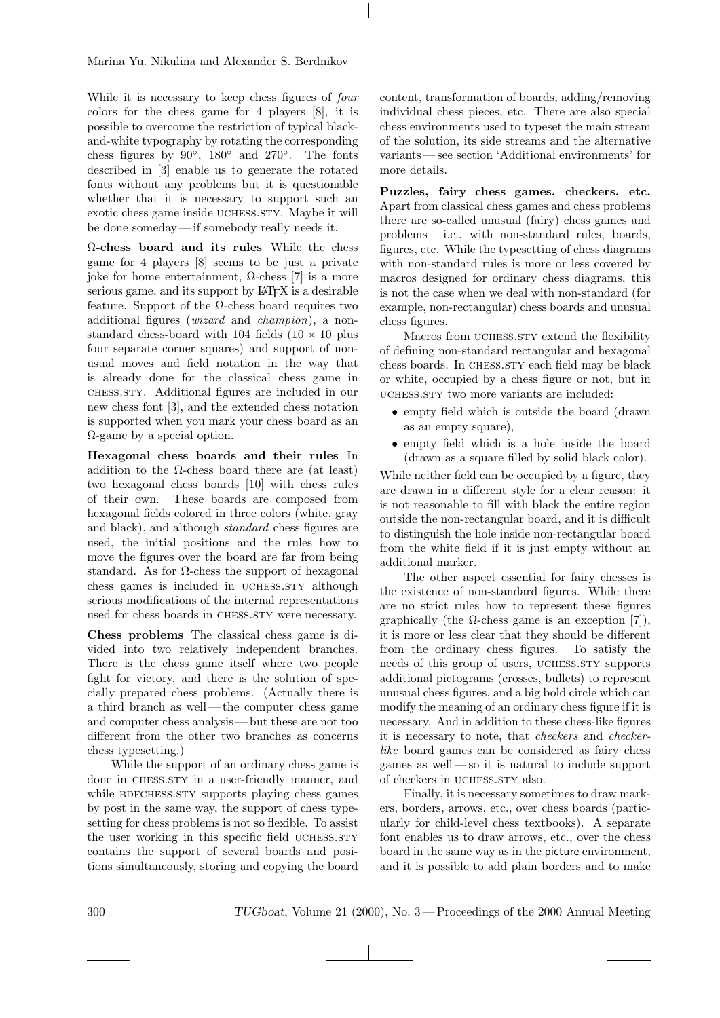Marina Yu. Nikulina and Alexander S. Berdnikov

While it is necessary to keep chess figures of four colors for the chess game for 4 players [8], it is possible to overcome the restriction of typical blackand-white typography by rotating the corresponding chess figures by  $90^\circ$ ,  $180^\circ$  and  $270^\circ$ . The fonts described in [3] enable us to generate the rotated fonts without any problems but it is questionable whether that it is necessary to support such an exotic chess game inside UCHESS.STY. Maybe it will be done someday— if somebody really needs it.

Ω-chess board and its rules While the chess game for 4 players [8] seems to be just a private joke for home entertainment,  $\Omega$ -chess [7] is a more serious game, and its support by LAT<sub>EX</sub> is a desirable feature. Support of the  $\Omega$ -chess board requires two additional figures (wizard and champion), a nonstandard chess-board with 104 fields  $(10 \times 10)$  plus four separate corner squares) and support of nonusual moves and field notation in the way that is already done for the classical chess game in chess.sty. Additional figures are included in our new chess font [3], and the extended chess notation is supported when you mark your chess board as an  $\Omega$ -game by a special option.

Hexagonal chess boards and their rules In addition to the  $\Omega$ -chess board there are (at least) two hexagonal chess boards [10] with chess rules of their own. These boards are composed from hexagonal fields colored in three colors (white, gray and black), and although standard chess figures are used, the initial positions and the rules how to move the figures over the board are far from being standard. As for  $\Omega$ -chess the support of hexagonal chess games is included in UCHESS.STY although serious modifications of the internal representations used for chess boards in CHESS.STY were necessary.

Chess problems The classical chess game is divided into two relatively independent branches. There is the chess game itself where two people fight for victory, and there is the solution of specially prepared chess problems. (Actually there is a third branch as well — the computer chess game and computer chess analysis — but these are not too different from the other two branches as concerns chess typesetting.)

While the support of an ordinary chess game is done in chess.sty in a user-friendly manner, and while BDFCHESS.STY supports playing chess games by post in the same way, the support of chess typesetting for chess problems is not so flexible. To assist the user working in this specific field UCHESS.STY contains the support of several boards and positions simultaneously, storing and copying the board

content, transformation of boards, adding/removing individual chess pieces, etc. There are also special chess environments used to typeset the main stream of the solution, its side streams and the alternative variants — see section 'Additional environments' for more details.

Puzzles, fairy chess games, checkers, etc. Apart from classical chess games and chess problems there are so-called unusual (fairy) chess games and problems — i.e., with non-standard rules, boards, figures, etc. While the typesetting of chess diagrams with non-standard rules is more or less covered by macros designed for ordinary chess diagrams, this is not the case when we deal with non-standard (for example, non-rectangular) chess boards and unusual chess figures.

Macros from UCHESS.STY extend the flexibility of defining non-standard rectangular and hexagonal chess boards. In chess.sty each field may be black or white, occupied by a chess figure or not, but in uchess.sty two more variants are included:

- empty field which is outside the board (drawn as an empty square),
- empty field which is a hole inside the board (drawn as a square filled by solid black color).

While neither field can be occupied by a figure, they are drawn in a different style for a clear reason: it is not reasonable to fill with black the entire region outside the non-rectangular board, and it is difficult to distinguish the hole inside non-rectangular board from the white field if it is just empty without an additional marker.

The other aspect essential for fairy chesses is the existence of non-standard figures. While there are no strict rules how to represent these figures graphically (the  $\Omega$ -chess game is an exception [7]), it is more or less clear that they should be different from the ordinary chess figures. To satisfy the needs of this group of users, UCHESS.STY supports additional pictograms (crosses, bullets) to represent unusual chess figures, and a big bold circle which can modify the meaning of an ordinary chess figure if it is necessary. And in addition to these chess-like figures it is necessary to note, that checkers and checkerlike board games can be considered as fairy chess games as well — so it is natural to include support of checkers in uchess.sty also.

Finally, it is necessary sometimes to draw markers, borders, arrows, etc., over chess boards (particularly for child-level chess textbooks). A separate font enables us to draw arrows, etc., over the chess board in the same way as in the picture environment, and it is possible to add plain borders and to make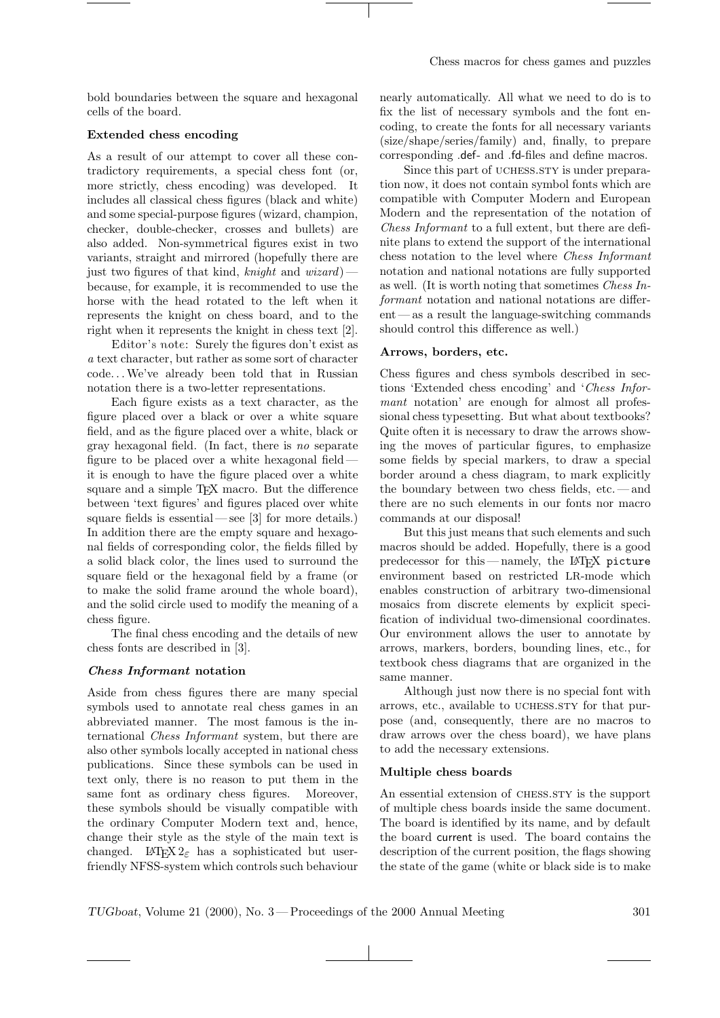bold boundaries between the square and hexagonal cells of the board.

## Extended chess encoding

As a result of our attempt to cover all these contradictory requirements, a special chess font (or, more strictly, chess encoding) was developed. It includes all classical chess figures (black and white) and some special-purpose figures (wizard, champion, checker, double-checker, crosses and bullets) are also added. Non-symmetrical figures exist in two variants, straight and mirrored (hopefully there are just two figures of that kind, knight and wizard) – because, for example, it is recommended to use the horse with the head rotated to the left when it represents the knight on chess board, and to the right when it represents the knight in chess text [2].

Editor's note: Surely the figures don't exist as a text character, but rather as some sort of character code. . .We've already been told that in Russian notation there is a two-letter representations.

Each figure exists as a text character, as the figure placed over a black or over a white square field, and as the figure placed over a white, black or gray hexagonal field. (In fact, there is no separate figure to be placed over a white hexagonal field it is enough to have the figure placed over a white square and a simple T<sub>EX</sub> macro. But the difference between 'text figures' and figures placed over white square fields is essential — see  $[3]$  for more details.) In addition there are the empty square and hexagonal fields of corresponding color, the fields filled by a solid black color, the lines used to surround the square field or the hexagonal field by a frame (or to make the solid frame around the whole board), and the solid circle used to modify the meaning of a chess figure.

The final chess encoding and the details of new chess fonts are described in [3].

### Chess Informant notation

Aside from chess figures there are many special symbols used to annotate real chess games in an abbreviated manner. The most famous is the international Chess Informant system, but there are also other symbols locally accepted in national chess publications. Since these symbols can be used in text only, there is no reason to put them in the same font as ordinary chess figures. Moreover, these symbols should be visually compatible with the ordinary Computer Modern text and, hence, change their style as the style of the main text is changed. LATEX  $2\varepsilon$  has a sophisticated but userfriendly NFSS-system which controls such behaviour

nearly automatically. All what we need to do is to fix the list of necessary symbols and the font encoding, to create the fonts for all necessary variants (size/shape/series/family) and, finally, to prepare corresponding .def- and .fd-files and define macros.

Since this part of UCHESS.STY is under preparation now, it does not contain symbol fonts which are compatible with Computer Modern and European Modern and the representation of the notation of Chess Informant to a full extent, but there are definite plans to extend the support of the international chess notation to the level where Chess Informant notation and national notations are fully supported as well. (It is worth noting that sometimes Chess Informant notation and national notations are differ $ent$  — as a result the language-switching commands should control this difference as well.)

### Arrows, borders, etc.

Chess figures and chess symbols described in sections 'Extended chess encoding' and 'Chess Informant notation' are enough for almost all professional chess typesetting. But what about textbooks? Quite often it is necessary to draw the arrows showing the moves of particular figures, to emphasize some fields by special markers, to draw a special border around a chess diagram, to mark explicitly the boundary between two chess fields, etc. — and there are no such elements in our fonts nor macro commands at our disposal!

But this just means that such elements and such macros should be added. Hopefully, there is a good predecessor for this — namely, the LATEX picture environment based on restricted LR-mode which enables construction of arbitrary two-dimensional mosaics from discrete elements by explicit specification of individual two-dimensional coordinates. Our environment allows the user to annotate by arrows, markers, borders, bounding lines, etc., for textbook chess diagrams that are organized in the same manner.

Although just now there is no special font with arrows, etc., available to UCHESS.STY for that purpose (and, consequently, there are no macros to draw arrows over the chess board), we have plans to add the necessary extensions.

## Multiple chess boards

An essential extension of CHESS.STY is the support of multiple chess boards inside the same document. The board is identified by its name, and by default the board current is used. The board contains the description of the current position, the flags showing the state of the game (white or black side is to make

TUGboat, Volume 21 (2000), No. 3 — Proceedings of the 2000 Annual Meeting 301